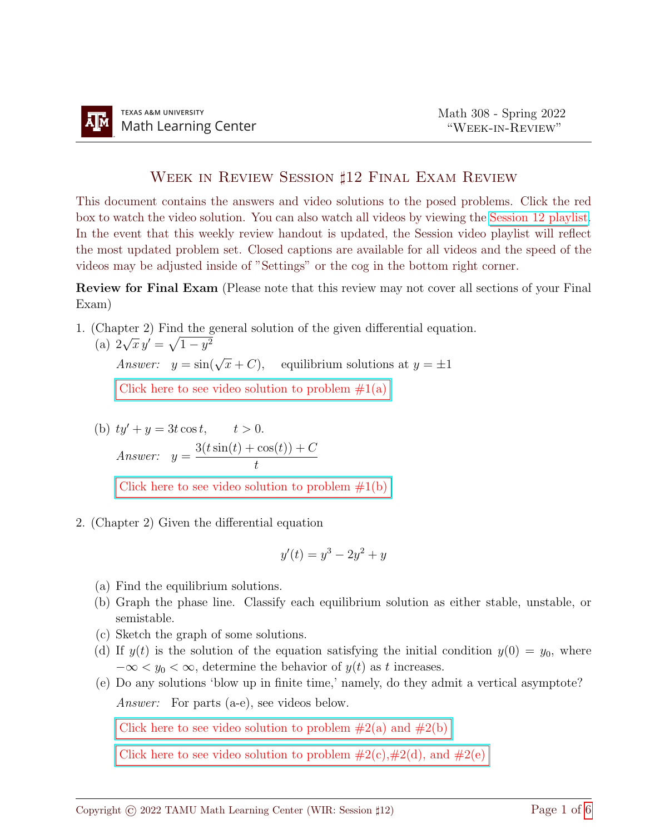## WEEK IN REVIEW SESSION ‡12 FINAL EXAM REVIEW

This document contains the answers and video solutions to the posed problems. Click the red box to watch the video solution. You can also watch all videos by viewing the [Session 12 playlist.](https://youtube.com/playlist?list=PLwFg2cC3rFdm8TFjPAm-kRs0PmNRcq3M3) In the event that this weekly review handout is updated, the Session video playlist will reflect the most updated problem set. Closed captions are available for all videos and the speed of the videos may be adjusted inside of "Settings" or the cog in the bottom right corner.

Review for Final Exam (Please note that this review may not cover all sections of your Final Exam)

1. (Chapter 2) Find the general solution of the given differential equation.

(a) 2  $\sqrt{x} y' = \sqrt{1 - y^2}$ Answer:  $y = \sin(\sqrt{x} + C)$ , equilibrium solutions at  $y = \pm 1$ Click here to see video solution to problem  $\#1(a)$ 

(b) 
$$
ty' + y = 3t \cos t
$$
,  $t > 0$ .  
\nAnswer:  $y = \frac{3(t \sin(t) + \cos(t)) + C}{t}$   
\nClick here to see video solution to problem #1(b)

2. (Chapter 2) Given the differential equation

$$
y'(t) = y^3 - 2y^2 + y
$$

- (a) Find the equilibrium solutions.
- (b) Graph the phase line. Classify each equilibrium solution as either stable, unstable, or semistable.
- (c) Sketch the graph of some solutions.
- (d) If  $y(t)$  is the solution of the equation satisfying the initial condition  $y(0) = y_0$ , where  $-\infty < y_0 < \infty$ , determine the behavior of  $y(t)$  as t increases.
- (e) Do any solutions 'blow up in finite time,' namely, do they admit a vertical asymptote? Answer: For parts (a-e), see videos below.

Click here to see video solution to problem  $#2(a)$  and  $#2(b)$ 

Click here to see video solution to problem  $#2(c),#2(d)$ , and  $#2(e)$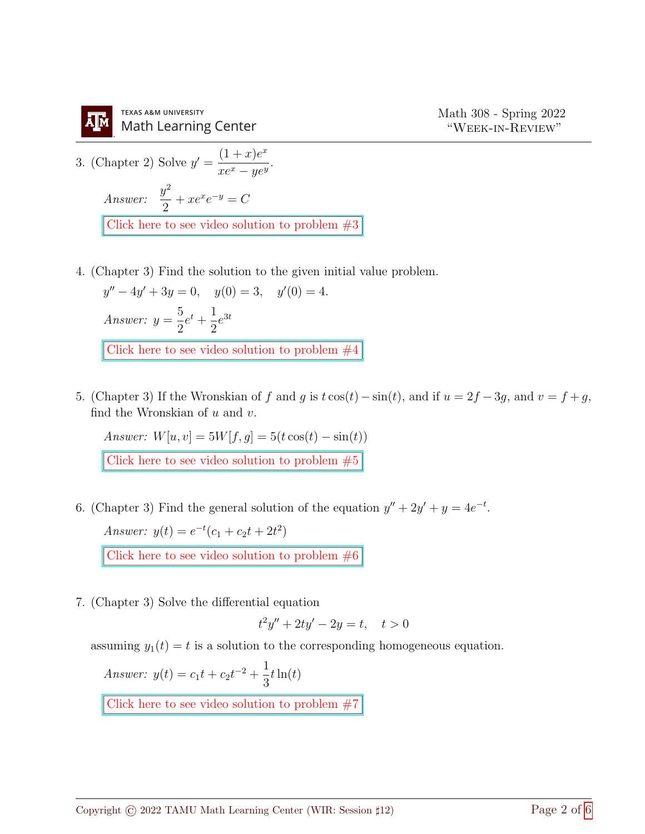

**TEXAS A&M UNIVERSITY Math Learning Center** 

3. (Chapter 2) Solve 
$$
y' = \frac{(1+x)e^x}{xe^x - ye^y}
$$
.  
\nAnswer:  $\frac{y^2}{2} + xe^x e^{-y} = C$   
\nClick here to see video solution to problem #3

4. (Chapter 3) Find the solution to the given initial value problem.

 $y'' - 4y' + 3y = 0, \quad y(0) = 3, \quad y'(0) = 4.$ Answer:  $y =$ 5 2  $e^{t} + \frac{1}{2}$ 2  $e^{3t}$ Click here to see video solution to problem  $\#4$ 

5. (Chapter 3) If the Wronskian of f and g is  $t \cos(t) - \sin(t)$ , and if  $u = 2f - 3g$ , and  $v = f + g$ , find the Wronskian of  $u$  and  $v$ .

Answer:  $W[u, v] = 5W[f, g] = 5(t \cos(t) - \sin(t))$ Click here to see video solution to problem  $\#5$ 

6. (Chapter 3) Find the general solution of the equation  $y'' + 2y' + y = 4e^{-t}$ .

Answer:  $y(t) = e^{-t}(c_1 + c_2t + 2t^2)$ 

Click here to see video solution to problem  $\#6$ 

7. (Chapter 3) Solve the differential equation

$$
t^2y'' + 2ty' - 2y = t, \quad t > 0
$$

assuming  $y_1(t) = t$  is a solution to the corresponding homogeneous equation.

Answer: 
$$
y(t) = c_1 t + c_2 t^{-2} + \frac{1}{3} t \ln(t)
$$

Click here to see video solution to problem  $\#7$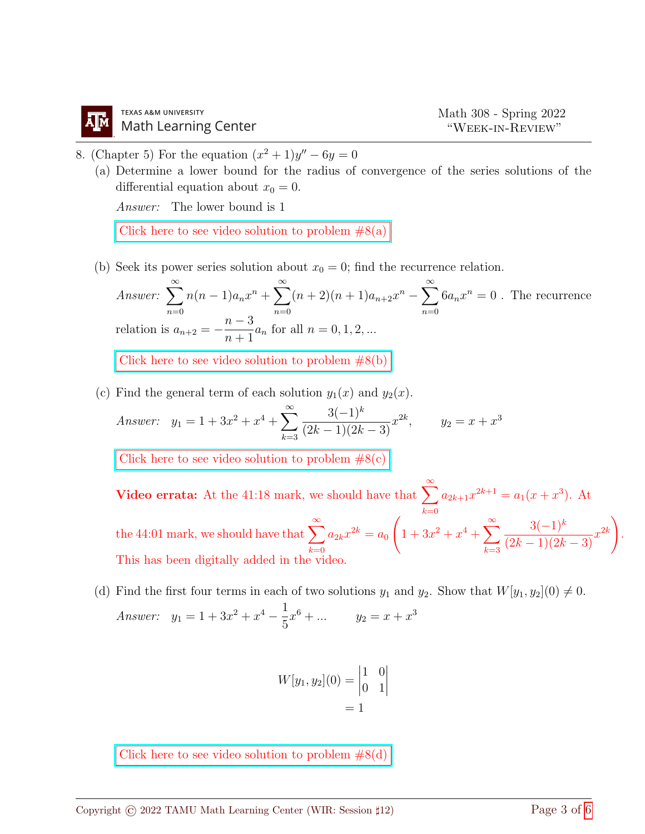8. (Chapter 5) For the equation  $(x^2 + 1)y'' - 6y = 0$ 

(a) Determine a lower bound for the radius of convergence of the series solutions of the differential equation about  $x_0 = 0$ .

Answer: The lower bound is 1

Click here to see video solution to problem  $#8(a)$ 

(b) Seek its power series solution about  $x_0 = 0$ ; find the recurrence relation.

Answer:  $\sum_{n=1}^{\infty}$  $n=0$  $n(n-1)a_nx^n + \sum_{n=1}^{\infty}$  $n=0$  $(n+2)(n+1)a_{n+2}x^{n} - \sum_{n=0}^{\infty}$  $n=0$  $6a_nx^n=0$ . The recurrence relation is  $a_{n+2} =$  $n-3$  $\frac{n}{n+1}a_n$  for all  $n = 0, 1, 2, ...$ Click here to see video solution to problem  $#8(b)$ 

(c) Find the general term of each solution  $y_1(x)$  and  $y_2(x)$ .

Answer: 
$$
y_1 = 1 + 3x^2 + x^4 + \sum_{k=3}^{\infty} \frac{3(-1)^k}{(2k-1)(2k-3)} x^{2k}
$$
,  $y_2 = x + x^3$ 

Click here to see video solution to problem  $#8(c)$ 

Video errata: At the 41:18 mark, we should have that  $\sum_{n=0}^{\infty}$  $_{k=0}$  $a_{2k+1}x^{2k+1} = a_1(x+x^3)$ . At the 44:01 mark, we should have that  $\sum^{\infty}_{n=1}$  $_{k=0}$  $a_{2k}x^{2k} = a_0$  $\sqrt{ }$  $1 + 3x^2 + x^4 + \sum_{n=1}^{\infty}$  $_{k=3}$  $3(-1)^k$  $\frac{3(-1)^k}{(2k-1)(2k-3)}x^{2k}$ . This has been digitally added in the video.

(d) Find the first four terms in each of two solutions  $y_1$  and  $y_2$ . Show that  $W[y_1, y_2](0) \neq 0$ . Answer:  $y_1 = 1 + 3x^2 + x^4 - \frac{1}{5}$ 5  $x^6 + \dots$   $y_2 = x + x^3$ 

$$
W[y_1, y_2](0) = \begin{vmatrix} 1 & 0 \\ 0 & 1 \end{vmatrix} = 1
$$

Click here to see video solution to problem  $#8(d)$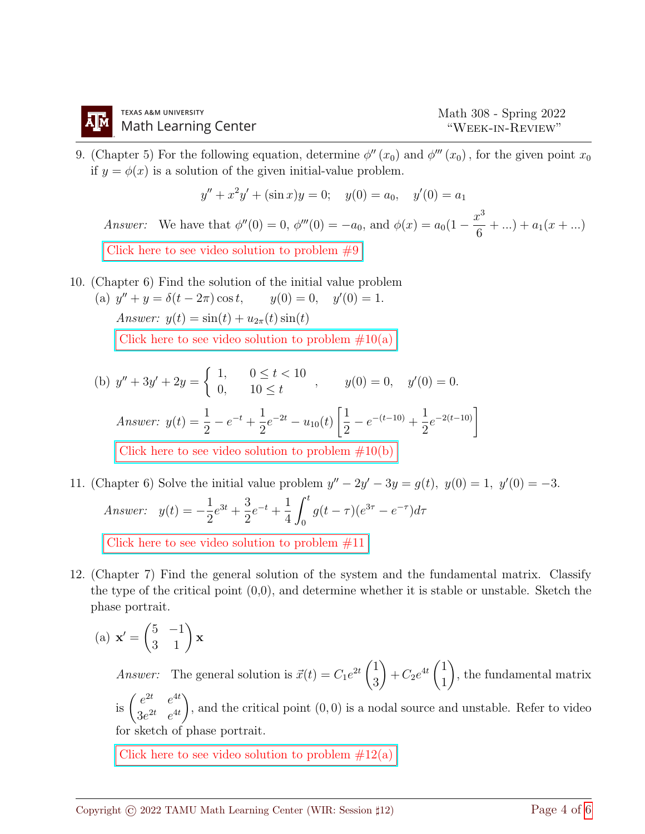9. (Chapter 5) For the following equation, determine  $\phi''(x_0)$  and  $\phi'''(x_0)$ , for the given point  $x_0$ if  $y = \phi(x)$  is a solution of the given initial-value problem.

$$
y'' + x^2y' + (\sin x)y = 0; \quad y(0) = a_0, \quad y'(0) = a_1
$$
  
Answer: We have that  $\phi''(0) = 0$ ,  $\phi'''(0) = -a_0$ , and  $\phi(x) = a_0(1 - \frac{x^3}{6} + \dots) + a_1(x + \dots)$   
Click here to see video solution to problem #9

- 10. (Chapter 6) Find the solution of the initial value problem
	- (a)  $y'' + y = \delta(t 2\pi)\cos t$ ,  $y(0) = 0$ ,  $y'$  $y(0) = 0, \quad y'(0) = 1.$ Answer:  $y(t) = \sin(t) + u_{2\pi}(t) \sin(t)$ Click here to see video solution to problem  $\#10(a)$

(b) 
$$
y'' + 3y' + 2y = \begin{cases} 1, & 0 \le t < 10 \\ 0, & 10 \le t \end{cases}
$$
,  $y(0) = 0, y'(0) = 0.$   
\nAnswer:  $y(t) = \frac{1}{2} - e^{-t} + \frac{1}{2}e^{-2t} - u_{10}(t)\left[\frac{1}{2} - e^{-(t-10)} + \frac{1}{2}e^{-2(t-10)}\right]$   
\nClick here to see video solution to problem #10(b)

- 11. (Chapter 6) Solve the initial value problem  $y'' 2y' 3y = g(t)$ ,  $y(0) = 1$ ,  $y'(0) = -3$ . Answer:  $y(t) = -\frac{1}{2}$ 2  $e^{3t} + \frac{3}{2}$ 2  $e^{-t} + \frac{1}{4}$ 4  $\int_0^t$ 0  $g(t-\tau)(e^{3\tau}-e^{-\tau})d\tau$ [Click here to see video solution to problem #11](https://youtu.be/K1KAqUF_KfQ)
- 12. (Chapter 7) Find the general solution of the system and the fundamental matrix. Classify the type of the critical point  $(0,0)$ , and determine whether it is stable or unstable. Sketch the phase portrait.

(a) 
$$
\mathbf{x}' = \begin{pmatrix} 5 & -1 \\ 3 & 1 \end{pmatrix} \mathbf{x}
$$

*Answer:* The general solution is  $\vec{x}(t) = C_1 e^{2t} \begin{pmatrix} 1 \\ 2 \end{pmatrix}$ 3  $\setminus$  $+ C_2 e^{4t} \left( \frac{1}{1} \right)$ 1  $\setminus$ , the fundamental matrix is  $\begin{pmatrix} e^{2t} & e^{4t} \\ 2 & 2t & 4t \end{pmatrix}$  $3e^{2t}$   $e^{4t}$  $\setminus$ , and the critical point  $(0, 0)$  is a nodal source and unstable. Refer to video for sketch of phase portrait.

Click here to see video solution to problem  $\#12(a)$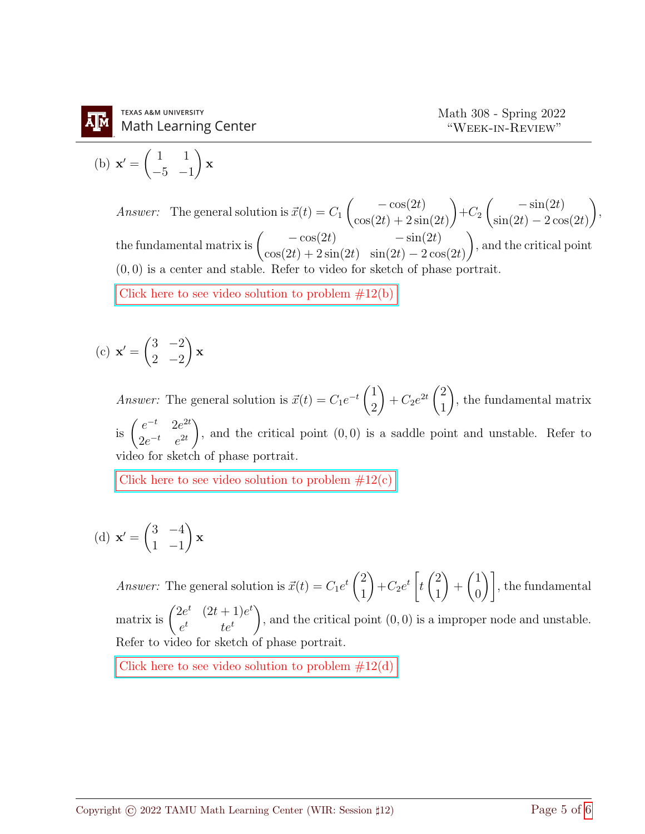$$
(b) \mathbf{x}' = \begin{pmatrix} 1 & 1 \\ -5 & -1 \end{pmatrix} \mathbf{x}
$$

Answer: The general solution is  $\vec{x}(t) = C_1$  $\left($  – cos(2t)  $cos(2t) + 2sin(2t)$  $\setminus$  $+C_2$  $\int -\sin(2t)$  $\sin(2t) - 2\cos(2t)$  $\setminus$ , the fundamental matrix is  $\begin{pmatrix} -\cos(2t) & -\sin(2t) \\ \cos(2t) & \cos(2t) & \cos(2t) \end{pmatrix}$  $cos(2t) + 2sin(2t) sin(2t) - 2cos(2t)$  $\setminus$ , and the critical point  $(0, 0)$  is a center and stable. Refer to video for sketch of phase portrait. Click here to see video solution to problem  $#12(b)$ 

(c) 
$$
\mathbf{x}' = \begin{pmatrix} 3 & -2 \\ 2 & -2 \end{pmatrix} \mathbf{x}
$$

*Answer:* The general solution is  $\vec{x}(t) = C_1 e^{-t} \begin{pmatrix} 1 \\ 2 \end{pmatrix}$ 2  $\setminus$ +  $C_2e^{2t}\begin{pmatrix} 2 \\ 1 \end{pmatrix}$ 1  $\setminus$ , the fundamental matrix is  $\begin{pmatrix} e^{-t} & 2e^{2t} \\ 0 & -t & 2t \end{pmatrix}$  $2e^{-t}$   $e^{2t}$  $\setminus$ , and the critical point  $(0, 0)$  is a saddle point and unstable. Refer to video for sketch of phase portrait.

Click here to see video solution to problem  $\#12(c)$ 

(d) 
$$
\mathbf{x}' = \begin{pmatrix} 3 & -4 \\ 1 & -1 \end{pmatrix} \mathbf{x}
$$

*Answer:* The general solution is  $\vec{x}(t) = C_1 e^{t} \begin{pmatrix} 2 \\ 1 \end{pmatrix}$ 1  $\setminus$  $+C_2e^t\Big[$ t  $\sqrt{2}$ 1  $\setminus$  $+$  $\sqrt{1}$  $\begin{bmatrix} 1 \ 0 \end{bmatrix}$ , the fundamental matrix is  $\begin{pmatrix} 2e^t & (2t+1)e^t \\ t & t \end{pmatrix}$  $e^t$  te<sup>t</sup>  $\setminus$ , and the critical point (0, 0) is a improper node and unstable. Refer to video for sketch of phase portrait.

Click here to see video solution to problem  $#12(d)$